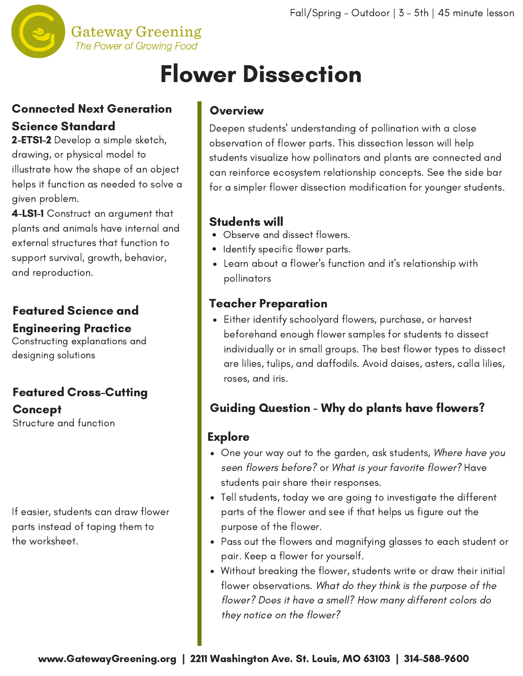

# Flower Dissection

# Connected Next Generation Science Standard

2-ETS1-2 Develop a simple sketch, drawing, or physical model to illustrate how the shape of an object helps it function as needed to solve a given problem.

4-LS1-1 Construct an argument that plants and animals have internal and external structures that function to support survival, growth, behavior, and reproduction.

# Featured Science and Engineering Practice

Constructing explanations and designing solutions

# Featured Cross-Cutting

Structure and function Concept

If easier, students can draw flower parts instead of taping them to the worksheet.

### **Overview**

Deepen students' [understanding](http://www.gatewaygreening.org/wp-content/uploads/2018/08/Gateway-Greening-Planting-Calendar-2018.pdf) of pollination with a close observation of flower parts. This dissection lesson will help students visualize how pollinators and plants are connected and can reinforce ecosystem relationship concepts. See the side bar for a simpler flower dissection modification for younger students.

# Students will

- Observe and dissect flowers.
- Identify specific flower parts.
- Learn about a flower's function and it's relationship with pollinators

## Teacher Preparation

Either identify schoolyard flowers, purchase, or harvest beforehand enough flower samples for students to dissect individually or in small groups. The best flower types to dissect are lilies, tulips, and daffodils. Avoid daises, asters, calla lilies, roses, and iris.

# Guiding Question - Why do plants have flowers?

### **Explore**

- One your way out to the garden, ask students, Where have you seen flowers before? or What is your favorite flower? Have students pair share their responses.
- Tell students, today we are going to investigate the different parts of the flower and see if that helps us figure out the purpose of the flower.
- Pass out the flowers and magnifying glasses to each student or pair. Keep a flower for yourself.
- Without breaking the flower, students write or draw their initial flower observations. What do they think is the purpose of the flower? Does it have a smell? How many different colors do they notice on the flower?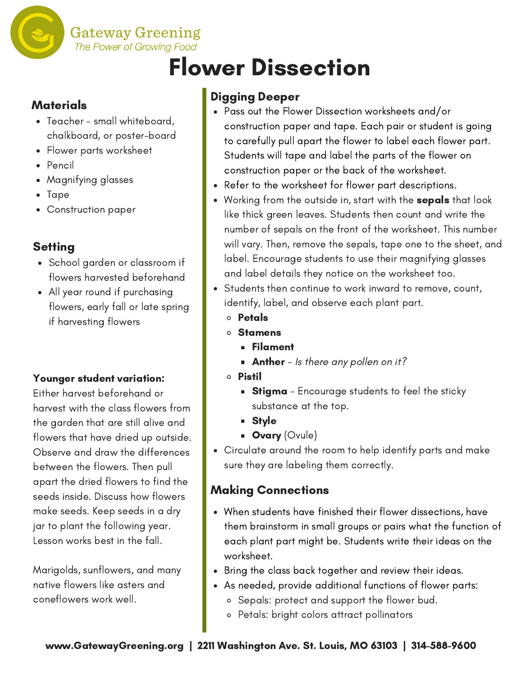

# Flower Dissection

#### **Materials**

- Teacher small whiteboard, chalkboard, or poster-board
- Flower parts worksheet
- Pencil
- Magnifying glasses
- Tape
- Construction paper

### **Setting**

- School garden or classroom if flowers harvested beforehand
- All year round if purchasing flowers, early fall or late spring if harvesting flowers

#### Younger student variation:

Either harvest beforehand or harvest with the class flowers from the garden that are still alive and flowers that have dried up outside. Observe and draw the differences between the flowers. Then pull apart the dried flowers to find the seeds inside. Discuss how flowers make seeds. Keep seeds in a dry jar to plant the following year. Lesson works best in the fall.

Marigolds, sunflowers, and many native flowers like asters and coneflowers work well.

# Digging Deeper

- Pass out the Flower Dissection worksheets and/or construction paper and tape. Each pair or student is going to carefully pull apart the flower to label each flower part. Students will tape and label the parts of the flower on construction paper or the back of the worksheet.
- Refer to the worksheet for flower part descriptions.
- Working from the outside in, start with the **sepals** that look like thick green leaves. Students then count and write the number of sepals on the front of the worksheet. This number will vary. Then, remove the sepals, tape one to the sheet, and label. Encourage students to use their magnifying glasses and label details they notice on the worksheet too.
- Students then continue to work inward to remove, count, identify, label, and observe each plant part.
	- o Petals
	- Stamens
		- Filament
		- **Anther** Is there any pollen on it?
	- Pistil
		- **Stigma** Encourage students to feel the sticky substance at the top.
		- Style
		- **Dvary** (Ovule)
- Circulate around the room to help identify parts and make sure they are labeling them correctly.

# Making Connections

- When students have finished their flower dissections, have them brainstorm in small groups or pairs what the function of each plant part might be. Students write their ideas on the worksheet.
- Bring the class back together and review their ideas.
- As needed, provide additional functions of flower parts:
	- Sepals: protect and support the flower bud.
	- Petals: bright colors attract pollinators